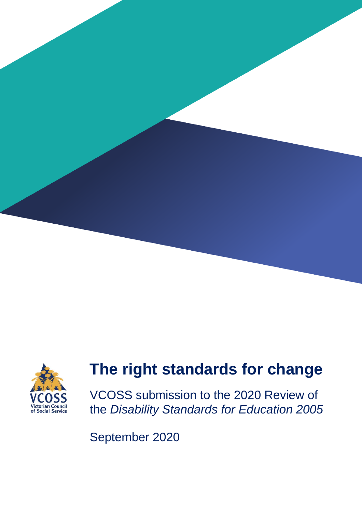



# **The right standards for change**

VCOSS submission to the 2020 Review of the *Disability Standards for Education 2005*

September 2020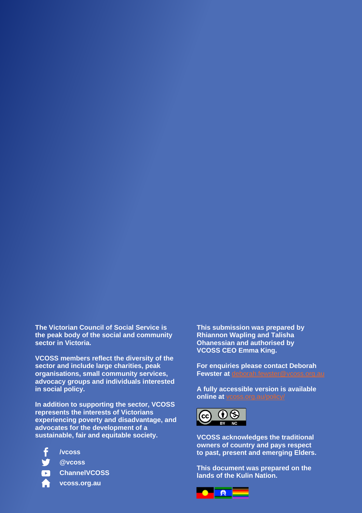**The Victorian Council of Social Service is the peak body of the social and community sector in Victoria.**

**VCOSS members reflect the diversity of the sector and include large charities, peak organisations, small community services, advocacy groups and individuals interested in social policy.** 

**In addition to supporting the sector, VCOSS represents the interests of Victorians experiencing poverty and disadvantage, and advocates for the development of a sustainable, fair and equitable society.**

- **/vcoss**
	- **@vcoss**
	- **ChannelVCOSS**
	- **vcoss.org.au**

**This submission was prepared by Rhiannon Wapling and Talisha Ohanessian and authorised by VCOSS CEO Emma King.**

**For enquiries please contact Deborah Fewster at** [deborah.fewster@vcoss.org.au](mailto:deborah.fewster@vcoss.org.au)

**A fully accessible version is available online at** [vcoss.org.au/policy/](https://vcoss.org.au/category/policy/)



**VCOSS acknowledges the traditional owners of country and pays respect to past, present and emerging Elders.**

**This document was prepared on the lands of the Kulin Nation.**

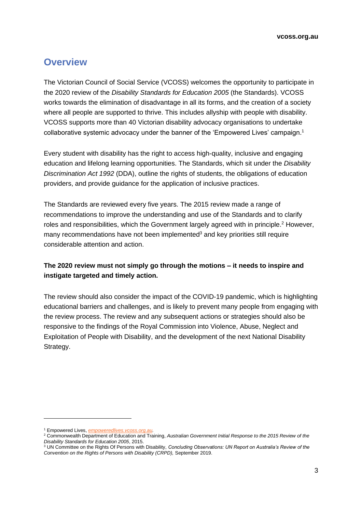# **Overview**

The Victorian Council of Social Service (VCOSS) welcomes the opportunity to participate in the 2020 review of the *Disability Standards for Education 2005* (the Standards). VCOSS works towards the elimination of disadvantage in all its forms, and the creation of a society where all people are supported to thrive. This includes allyship with people with disability. VCOSS supports more than 40 Victorian disability advocacy organisations to undertake collaborative systemic advocacy under the banner of the 'Empowered Lives' campaign.<sup>1</sup>

Every student with disability has the right to access high-quality, inclusive and engaging education and lifelong learning opportunities. The Standards, which sit under the *Disability Discrimination Act 1992* (DDA), outline the rights of students, the obligations of education providers, and provide guidance for the application of inclusive practices.

The Standards are reviewed every five years. The 2015 review made a range of recommendations to improve the understanding and use of the Standards and to clarify roles and responsibilities, which the Government largely agreed with in principle. <sup>2</sup> However, many recommendations have not been implemented<sup>3</sup> and key priorities still require considerable attention and action.

#### **The 2020 review must not simply go through the motions – it needs to inspire and instigate targeted and timely action.**

The review should also consider the impact of the COVID-19 pandemic, which is highlighting educational barriers and challenges, and is likely to prevent many people from engaging with the review process. The review and any subsequent actions or strategies should also be responsive to the findings of the Royal Commission into Violence, Abuse, Neglect and Exploitation of People with Disability, and the development of the next National Disability Strategy.

<sup>1</sup> Empowered Lives, *[empoweredlives.vcoss.org.au.](https://empoweredlives.vcoss.org.au/)*

<sup>2</sup> Commonwealth Department of Education and Training, *Australian Government Initial Response to the 2015 Review of the Disability Standards for Education 2005*, 2015.

<sup>3</sup> UN Committee on the Rights Of Persons with Disability, *Concluding Observations: UN Report on Australia's Review of the Convention on the Rights of Persons with Disability (CRPD),* September 2019.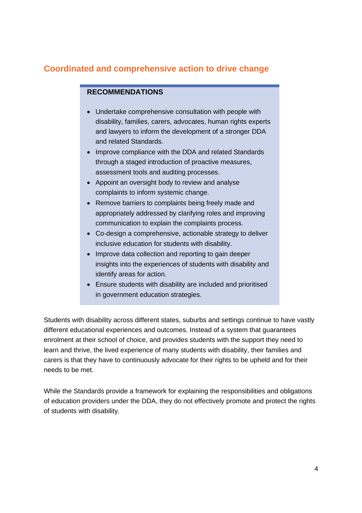# **Coordinated and comprehensive action to drive change**

## **RECOMMENDATIONS**

- Undertake comprehensive consultation with people with disability, families, carers, advocates, human rights experts and lawyers to inform the development of a stronger DDA and related Standards.
- Improve compliance with the DDA and related Standards through a staged introduction of proactive measures, assessment tools and auditing processes.
- Appoint an oversight body to review and analyse complaints to inform systemic change.
- Remove barriers to complaints being freely made and appropriately addressed by clarifying roles and improving communication to explain the complaints process.
- Co-design a comprehensive, actionable strategy to deliver inclusive education for students with disability.
- Improve data collection and reporting to gain deeper insights into the experiences of students with disability and identify areas for action.
- Ensure students with disability are included and prioritised in government education strategies.

Students with disability across different states, suburbs and settings continue to have vastly different educational experiences and outcomes. Instead of a system that guarantees enrolment at their school of choice, and provides students with the support they need to learn and thrive, the lived experience of many students with disability, their families and carers is that they have to continuously advocate for their rights to be upheld and for their needs to be met.

While the Standards provide a framework for explaining the responsibilities and obligations of education providers under the DDA, they do not effectively promote and protect the rights of students with disability.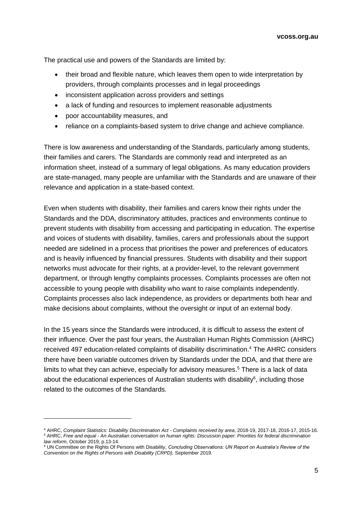**vcoss.org.au**

The practical use and powers of the Standards are limited by:

- their broad and flexible nature, which leaves them open to wide interpretation by providers, through complaints processes and in legal proceedings
- inconsistent application across providers and settings
- a lack of funding and resources to implement reasonable adjustments
- poor accountability measures, and
- reliance on a complaints-based system to drive change and achieve compliance.

There is low awareness and understanding of the Standards, particularly among students, their families and carers. The Standards are commonly read and interpreted as an information sheet, instead of a summary of legal obligations. As many education providers are state-managed, many people are unfamiliar with the Standards and are unaware of their relevance and application in a state-based context.

Even when students with disability, their families and carers know their rights under the Standards and the DDA, discriminatory attitudes, practices and environments continue to prevent students with disability from accessing and participating in education. The expertise and voices of students with disability, families, carers and professionals about the support needed are sidelined in a process that prioritises the power and preferences of educators and is heavily influenced by financial pressures. Students with disability and their support networks must advocate for their rights, at a provider-level, to the relevant government department, or through lengthy complaints processes. Complaints processes are often not accessible to young people with disability who want to raise complaints independently. Complaints processes also lack independence, as providers or departments both hear and make decisions about complaints, without the oversight or input of an external body.

In the 15 years since the Standards were introduced, it is difficult to assess the extent of their influence. Over the past four years, the Australian Human Rights Commission (AHRC) received 497 education-related complaints of disability discrimination.<sup>4</sup> The AHRC considers there have been variable outcomes driven by Standards under the DDA, and that there are limits to what they can achieve, especially for advisory measures. <sup>5</sup> There is a lack of data about the educational experiences of Australian students with disability<sup>6</sup>, including those related to the outcomes of the Standards.

<sup>4</sup> AHRC, *Complaint Statistics: Disability Discrimination Act - Complaints received by area*, 2018-19, 2017-18, 2016-17, 2015-16. <sup>5</sup> AHRC, *Free and equal - An Australian conversation on human rights: Discussion paper: Priorities for federal discrimination law reform*, October 2019, p.13-14.

<sup>6</sup> UN Committee on the Rights Of Persons with Disability, *Concluding Observations: UN Report on Australia's Review of the Convention on the Rights of Persons with Disability (CRPD),* September 2019.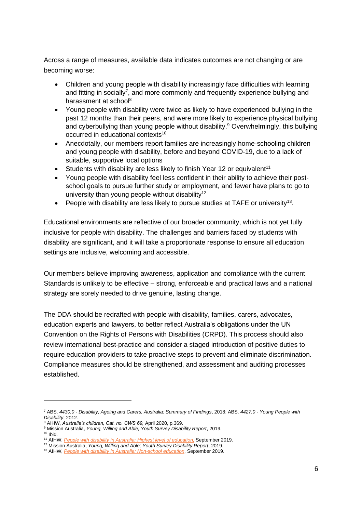Across a range of measures, available data indicates outcomes are not changing or are becoming worse:

- Children and young people with disability increasingly face difficulties with learning and fitting in socially<sup>7</sup>, and more commonly and frequently experience bullying and harassment at school $8$
- Young people with disability were twice as likely to have experienced bullying in the past 12 months than their peers, and were more likely to experience physical bullying and cyberbullying than young people without disability.<sup>9</sup> Overwhelmingly, this bullying occurred in educational contexts<sup>10</sup>
- Anecdotally, our members report families are increasingly home-schooling children and young people with disability, before and beyond COVID-19, due to a lack of suitable, supportive local options
- Students with disability are less likely to finish Year 12 or equivalent<sup>11</sup>
- Young people with disability feel less confident in their ability to achieve their postschool goals to pursue further study or employment, and fewer have plans to go to university than young people without disability<sup>12</sup>
- People with disability are less likely to pursue studies at TAFE or university<sup>13</sup>.

Educational environments are reflective of our broader community, which is not yet fully inclusive for people with disability. The challenges and barriers faced by students with disability are significant, and it will take a proportionate response to ensure all education settings are inclusive, welcoming and accessible.

Our members believe improving awareness, application and compliance with the current Standards is unlikely to be effective – strong, enforceable and practical laws and a national strategy are sorely needed to drive genuine, lasting change.

The DDA should be redrafted with people with disability, families, carers, advocates, education experts and lawyers, to better reflect Australia's obligations under the UN Convention on the Rights of Persons with Disabilities (CRPD). This process should also review international best-practice and consider a staged introduction of positive duties to require education providers to take proactive steps to prevent and eliminate discrimination. Compliance measures should be strengthened, and assessment and auditing processes established.

<sup>7</sup> ABS, *4430.0 - Disability, Ageing and Carers, Australia: Summary of Findings*, 2018; ABS, *4427.0 - Young People with Disability*, 2012.

<sup>8</sup> AIHW, *Australia's children, Cat. no. CWS 69,* April 2020, p.369.

<sup>9</sup> Mission Australia, *Young, Willing and Able; Youth Survey Disability Report*, 2019.  $10$  Ibid.

<sup>11</sup> AIHW, *[People with disability in Australia: Highest level of education,](https://www.aihw.gov.au/reports/disability/people-with-disability-in-australia/education-and-skills/educational-attainment/highest-level-of-education)* September 2019.

<sup>12</sup> Mission Australia, *Young, Willing and Able; Youth Survey Disability Report*, 2019.

<sup>13</sup> AIHW, *[People with disability in Australia: Non-school education](https://www.aihw.gov.au/reports/disability/people-with-disability-in-australia/education-and-skills/engagement-in-education/non-school-education)*, September 2019.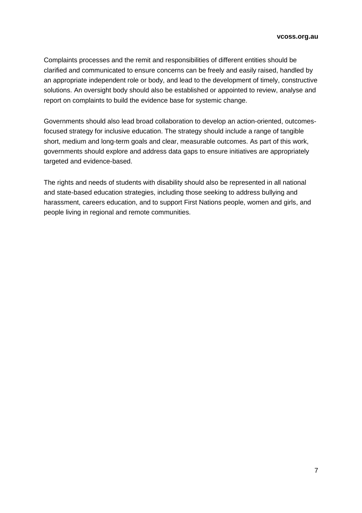Complaints processes and the remit and responsibilities of different entities should be clarified and communicated to ensure concerns can be freely and easily raised, handled by an appropriate independent role or body, and lead to the development of timely, constructive solutions. An oversight body should also be established or appointed to review, analyse and report on complaints to build the evidence base for systemic change.

Governments should also lead broad collaboration to develop an action-oriented, outcomesfocused strategy for inclusive education. The strategy should include a range of tangible short, medium and long-term goals and clear, measurable outcomes. As part of this work, governments should explore and address data gaps to ensure initiatives are appropriately targeted and evidence-based.

The rights and needs of students with disability should also be represented in all national and state-based education strategies, including those seeking to address bullying and harassment, careers education, and to support First Nations people, women and girls, and people living in regional and remote communities.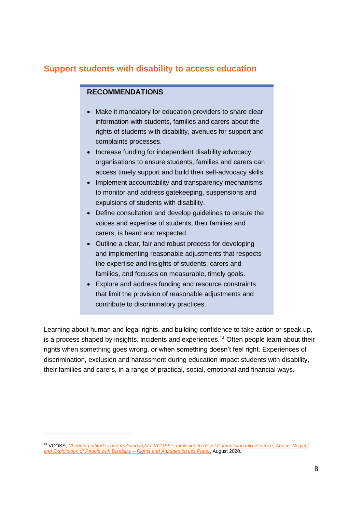# **Support students with disability to access education**

### **RECOMMENDATIONS**

- Make it mandatory for education providers to share clear information with students, families and carers about the rights of students with disability, avenues for support and complaints processes.
- Increase funding for independent disability advocacy organisations to ensure students, families and carers can access timely support and build their self-advocacy skills.
- Implement accountability and transparency mechanisms to monitor and address gatekeeping, suspensions and expulsions of students with disability.
- Define consultation and develop guidelines to ensure the voices and expertise of students, their families and carers, is heard and respected.
- Outline a clear, fair and robust process for developing and implementing reasonable adjustments that respects the expertise and insights of students, carers and families, and focuses on measurable, timely goals.
- Explore and address funding and resource constraints that limit the provision of reasonable adjustments and contribute to discriminatory practices.

Learning about human and legal rights, and building confidence to take action or speak up, is a process shaped by insights, incidents and experiences.<sup>14</sup> Often people learn about their rights when something goes wrong, or when something doesn't feel right. Experiences of discrimination, exclusion and harassment during education impact students with disability, their families and carers, in a range of practical, social, emotional and financial ways.

<sup>14</sup> VCOSS, *[Changing attitudes and realising rights: VCOSS submission to Royal Commission into Violence, Abuse, Neglect](https://vcoss.org.au/policy/2020/09/changing-attitudes/)  [and Exploitation of People with Disability –](https://vcoss.org.au/policy/2020/09/changing-attitudes/) Rights and Attitudes Issues Paper*, August 2020.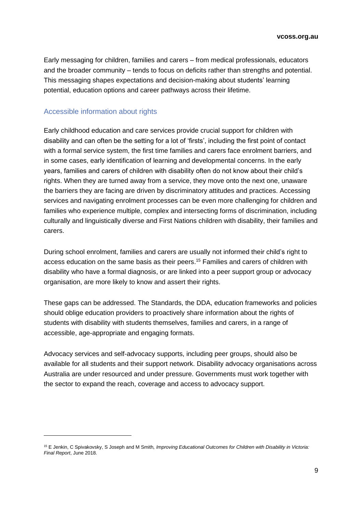**vcoss.org.au**

Early messaging for children, families and carers – from medical professionals, educators and the broader community – tends to focus on deficits rather than strengths and potential. This messaging shapes expectations and decision-making about students' learning potential, education options and career pathways across their lifetime.

#### Accessible information about rights

Early childhood education and care services provide crucial support for children with disability and can often be the setting for a lot of 'firsts', including the first point of contact with a formal service system, the first time families and carers face enrolment barriers, and in some cases, early identification of learning and developmental concerns. In the early years, families and carers of children with disability often do not know about their child's rights. When they are turned away from a service, they move onto the next one, unaware the barriers they are facing are driven by discriminatory attitudes and practices. Accessing services and navigating enrolment processes can be even more challenging for children and families who experience multiple, complex and intersecting forms of discrimination, including culturally and linguistically diverse and First Nations children with disability, their families and carers.

During school enrolment, families and carers are usually not informed their child's right to access education on the same basis as their peers. <sup>15</sup> Families and carers of children with disability who have a formal diagnosis, or are linked into a peer support group or advocacy organisation, are more likely to know and assert their rights.

These gaps can be addressed. The Standards, the DDA, education frameworks and policies should oblige education providers to proactively share information about the rights of students with disability with students themselves, families and carers, in a range of accessible, age-appropriate and engaging formats.

Advocacy services and self-advocacy supports, including peer groups, should also be available for all students and their support network. Disability advocacy organisations across Australia are under resourced and under pressure. Governments must work together with the sector to expand the reach, coverage and access to advocacy support.

<sup>15</sup> E Jenkin, C Spivakovsky, S Joseph and M Smith*, Improving Educational Outcomes for Children with Disability in Victoria: Final Report*, June 2018.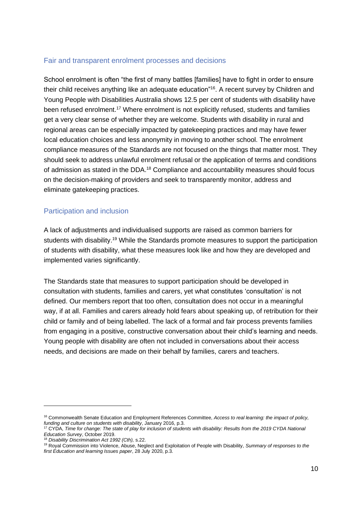#### Fair and transparent enrolment processes and decisions

School enrolment is often "the first of many battles [families] have to fight in order to ensure their child receives anything like an adequate education"<sup>16</sup>. A recent survey by Children and Young People with Disabilities Australia shows 12.5 per cent of students with disability have been refused enrolment.<sup>17</sup> Where enrolment is not explicitly refused, students and families get a very clear sense of whether they are welcome. Students with disability in rural and regional areas can be especially impacted by gatekeeping practices and may have fewer local education choices and less anonymity in moving to another school. The enrolment compliance measures of the Standards are not focused on the things that matter most. They should seek to address unlawful enrolment refusal or the application of terms and conditions of admission as stated in the DDA.<sup>18</sup> Compliance and accountability measures should focus on the decision-making of providers and seek to transparently monitor, address and eliminate gatekeeping practices.

#### Participation and inclusion

A lack of adjustments and individualised supports are raised as common barriers for students with disability.<sup>19</sup> While the Standards promote measures to support the participation of students with disability, what these measures look like and how they are developed and implemented varies significantly.

The Standards state that measures to support participation should be developed in consultation with students, families and carers, yet what constitutes 'consultation' is not defined. Our members report that too often, consultation does not occur in a meaningful way, if at all. Families and carers already hold fears about speaking up, of retribution for their child or family and of being labelled. The lack of a formal and fair process prevents families from engaging in a positive, constructive conversation about their child's learning and needs. Young people with disability are often not included in conversations about their access needs, and decisions are made on their behalf by families, carers and teachers.

<sup>16</sup> Commonwealth Senate Education and Employment References Committee, *Access to real learning: the impact of policy, funding and culture on students with disability*, January 2016, p.3.

<sup>17</sup> CYDA, *Time for change: The state of play for inclusion of students with disability: Results from the 2019 CYDA National Education Survey*, October 2019.

<sup>18</sup> *Disability Discrimination Act 1992 (Cth),* s.22.

<sup>19</sup> Royal Commission into Violence, Abuse, Neglect and Exploitation of People with Disability, *Summary of responses to the first Education and learning Issues paper*, 28 July 2020, p.3.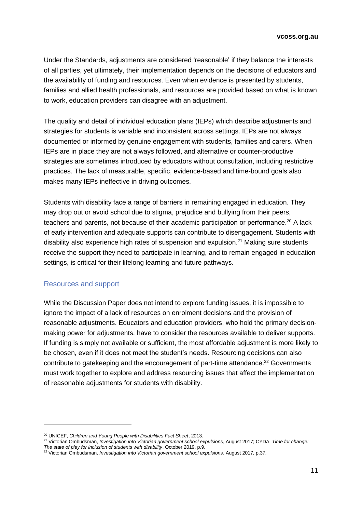Under the Standards, adjustments are considered 'reasonable' if they balance the interests of all parties, yet ultimately, their implementation depends on the decisions of educators and the availability of funding and resources. Even when evidence is presented by students, families and allied health professionals, and resources are provided based on what is known to work, education providers can disagree with an adjustment.

The quality and detail of individual education plans (IEPs) which describe adjustments and strategies for students is variable and inconsistent across settings. IEPs are not always documented or informed by genuine engagement with students, families and carers. When IEPs are in place they are not always followed, and alternative or counter-productive strategies are sometimes introduced by educators without consultation, including restrictive practices. The lack of measurable, specific, evidence-based and time-bound goals also makes many IEPs ineffective in driving outcomes.

Students with disability face a range of barriers in remaining engaged in education. They may drop out or avoid school due to stigma, prejudice and bullying from their peers, teachers and parents, not because of their academic participation or performance.<sup>20</sup> A lack of early intervention and adequate supports can contribute to disengagement. Students with disability also experience high rates of suspension and expulsion.<sup>21</sup> Making sure students receive the support they need to participate in learning, and to remain engaged in education settings, is critical for their lifelong learning and future pathways.

#### Resources and support

While the Discussion Paper does not intend to explore funding issues, it is impossible to ignore the impact of a lack of resources on enrolment decisions and the provision of reasonable adjustments. Educators and education providers, who hold the primary decisionmaking power for adjustments, have to consider the resources available to deliver supports. If funding is simply not available or sufficient, the most affordable adjustment is more likely to be chosen, even if it does not meet the student's needs. Resourcing decisions can also contribute to gatekeeping and the encouragement of part-time attendance.<sup>22</sup> Governments must work together to explore and address resourcing issues that affect the implementation of reasonable adjustments for students with disability.

<sup>20</sup> UNICEF, *Children and Young People with Disabilities Fact Sheet*, 2013.

<sup>21</sup> Victorian Ombudsman, *Investigation into Victorian government school expulsions*, August 2017; CYDA, *Time for change:* 

*The state of play for inclusion of students with disability*, October 2019, p.9.

<sup>22</sup> Victorian Ombudsman, *Investigation into Victorian government school expulsions*, August 2017, p.37.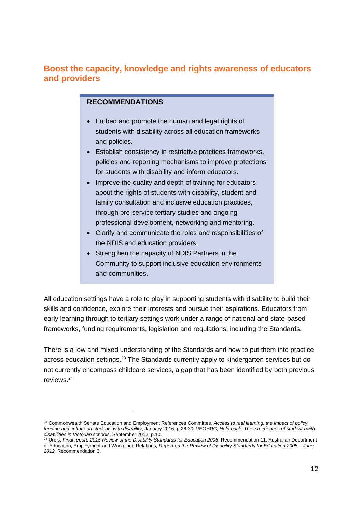## **Boost the capacity, knowledge and rights awareness of educators and providers**

#### **RECOMMENDATIONS**

- Embed and promote the human and legal rights of students with disability across all education frameworks and policies.
- Establish consistency in restrictive practices frameworks, policies and reporting mechanisms to improve protections for students with disability and inform educators.
- Improve the quality and depth of training for educators about the rights of students with disability, student and family consultation and inclusive education practices, through pre-service tertiary studies and ongoing professional development, networking and mentoring.
- Clarify and communicate the roles and responsibilities of the NDIS and education providers.
- Strengthen the capacity of NDIS Partners in the Community to support inclusive education environments and communities.

All education settings have a role to play in supporting students with disability to build their skills and confidence, explore their interests and pursue their aspirations. Educators from early learning through to tertiary settings work under a range of national and state-based frameworks, funding requirements, legislation and regulations, including the Standards.

There is a low and mixed understanding of the Standards and how to put them into practice across education settings.<sup>23</sup> The Standards currently apply to kindergarten services but do not currently encompass childcare services, a gap that has been identified by both previous reviews. 24

<sup>23</sup> Commonwealth Senate Education and Employment References Committee, *Access to real learning: the impact of policy, funding and culture on students with disability*, January 2016, p.26-30; VEOHRC, *Held back: The experiences of students with disabilities in Victorian schools*, September 2012, p.10.

<sup>24</sup> Urbis, *Final report: 2015 Review of the Disability Standards for Education 2005*, Recommendation 11, Australian Department of Education, Employment and Workplace Relations, *Report on the Review of Disability Standards for Education 2005 – June 2012,* Recommendation 3.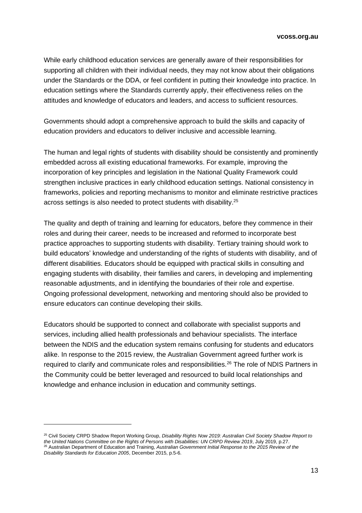While early childhood education services are generally aware of their responsibilities for supporting all children with their individual needs, they may not know about their obligations under the Standards or the DDA, or feel confident in putting their knowledge into practice. In education settings where the Standards currently apply, their effectiveness relies on the attitudes and knowledge of educators and leaders, and access to sufficient resources.

Governments should adopt a comprehensive approach to build the skills and capacity of education providers and educators to deliver inclusive and accessible learning.

The human and legal rights of students with disability should be consistently and prominently embedded across all existing educational frameworks. For example, improving the incorporation of key principles and legislation in the National Quality Framework could strengthen inclusive practices in early childhood education settings. National consistency in frameworks, policies and reporting mechanisms to monitor and eliminate restrictive practices across settings is also needed to protect students with disability. 25

The quality and depth of training and learning for educators, before they commence in their roles and during their career, needs to be increased and reformed to incorporate best practice approaches to supporting students with disability. Tertiary training should work to build educators' knowledge and understanding of the rights of students with disability, and of different disabilities. Educators should be equipped with practical skills in consulting and engaging students with disability, their families and carers, in developing and implementing reasonable adjustments, and in identifying the boundaries of their role and expertise. Ongoing professional development, networking and mentoring should also be provided to ensure educators can continue developing their skills.

Educators should be supported to connect and collaborate with specialist supports and services, including allied health professionals and behaviour specialists. The interface between the NDIS and the education system remains confusing for students and educators alike. In response to the 2015 review, the Australian Government agreed further work is required to clarify and communicate roles and responsibilities.<sup>26</sup> The role of NDIS Partners in the Community could be better leveraged and resourced to build local relationships and knowledge and enhance inclusion in education and community settings.

<sup>25</sup> Civil Society CRPD Shadow Report Working Group, *Disability Rights Now 2019: Australian Civil Society Shadow Report to the United Nations Committee on the Rights of Persons with Disabilities: UN CRPD Review 2019*, July 2019, p.27. <sup>26</sup> Australian Department of Education and Training, *Australian Government Initial Response to the 2015 Review of the Disability Standards for Education 2005*, December 2015, p.5-6.